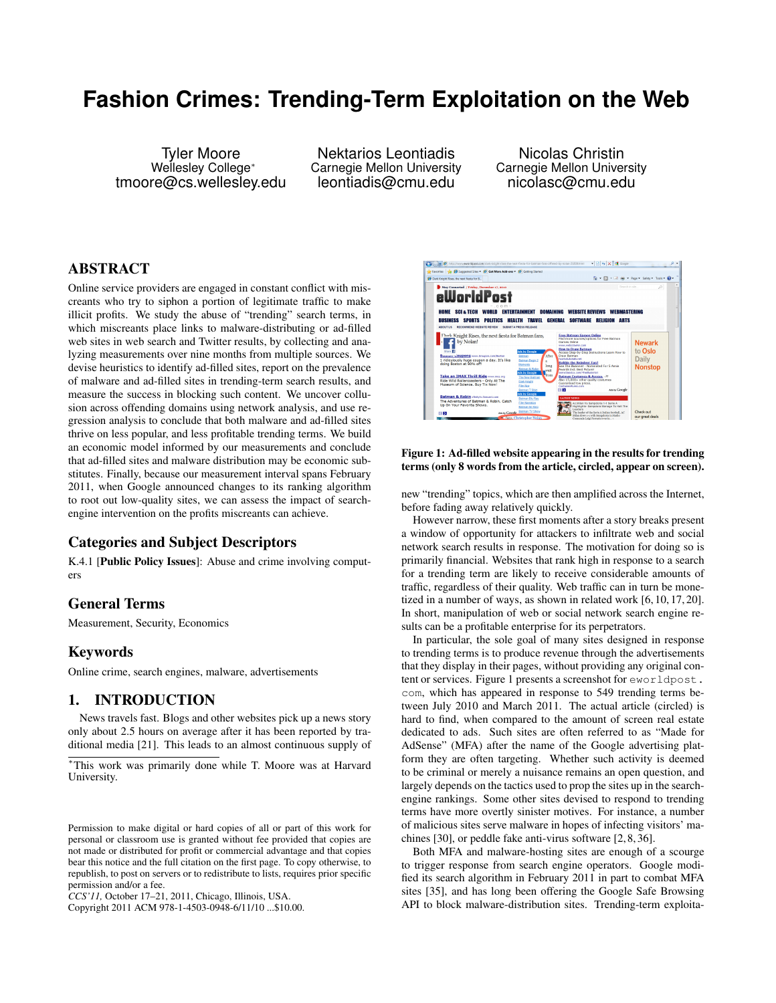# **Fashion Crimes: Trending-Term Exploitation on the Web**

Tyler Moore Wellesley College<sup>∗</sup> tmoore@cs.wellesley.edu

Nektarios Leontiadis Carnegie Mellon University leontiadis@cmu.edu

Nicolas Christin Carnegie Mellon University nicolasc@cmu.edu

# ABSTRACT

Online service providers are engaged in constant conflict with miscreants who try to siphon a portion of legitimate traffic to make illicit profits. We study the abuse of "trending" search terms, in which miscreants place links to malware-distributing or ad-filled web sites in web search and Twitter results, by collecting and analyzing measurements over nine months from multiple sources. We devise heuristics to identify ad-filled sites, report on the prevalence of malware and ad-filled sites in trending-term search results, and measure the success in blocking such content. We uncover collusion across offending domains using network analysis, and use regression analysis to conclude that both malware and ad-filled sites thrive on less popular, and less profitable trending terms. We build an economic model informed by our measurements and conclude that ad-filled sites and malware distribution may be economic substitutes. Finally, because our measurement interval spans February 2011, when Google announced changes to its ranking algorithm to root out low-quality sites, we can assess the impact of searchengine intervention on the profits miscreants can achieve.

# Categories and Subject Descriptors

K.4.1 [Public Policy Issues]: Abuse and crime involving computers

### General Terms

Measurement, Security, Economics

### Keywords

Online crime, search engines, malware, advertisements

### 1. INTRODUCTION

News travels fast. Blogs and other websites pick up a news story only about 2.5 hours on average after it has been reported by traditional media [21]. This leads to an almost continuous supply of

Copyright 2011 ACM 978-1-4503-0948-6/11/10 ...\$10.00.



### Figure 1: Ad-filled website appearing in the results for trending terms (only 8 words from the article, circled, appear on screen).

new "trending" topics, which are then amplified across the Internet, before fading away relatively quickly.

However narrow, these first moments after a story breaks present a window of opportunity for attackers to infiltrate web and social network search results in response. The motivation for doing so is primarily financial. Websites that rank high in response to a search for a trending term are likely to receive considerable amounts of traffic, regardless of their quality. Web traffic can in turn be monetized in a number of ways, as shown in related work [6, 10, 17, 20]. In short, manipulation of web or social network search engine results can be a profitable enterprise for its perpetrators.

In particular, the sole goal of many sites designed in response to trending terms is to produce revenue through the advertisements that they display in their pages, without providing any original content or services. Figure 1 presents a screenshot for eworldpost. com, which has appeared in response to 549 trending terms between July 2010 and March 2011. The actual article (circled) is hard to find, when compared to the amount of screen real estate dedicated to ads. Such sites are often referred to as "Made for AdSense" (MFA) after the name of the Google advertising platform they are often targeting. Whether such activity is deemed to be criminal or merely a nuisance remains an open question, and largely depends on the tactics used to prop the sites up in the searchengine rankings. Some other sites devised to respond to trending terms have more overtly sinister motives. For instance, a number of malicious sites serve malware in hopes of infecting visitors' machines [30], or peddle fake anti-virus software [2, 8, 36].

Both MFA and malware-hosting sites are enough of a scourge to trigger response from search engine operators. Google modified its search algorithm in February 2011 in part to combat MFA sites [35], and has long been offering the Google Safe Browsing API to block malware-distribution sites. Trending-term exploita-

<sup>∗</sup>This work was primarily done while T. Moore was at Harvard University.

Permission to make digital or hard copies of all or part of this work for personal or classroom use is granted without fee provided that copies are not made or distributed for profit or commercial advantage and that copies bear this notice and the full citation on the first page. To copy otherwise, to republish, to post on servers or to redistribute to lists, requires prior specific permission and/or a fee.

*CCS'11,* October 17–21, 2011, Chicago, Illinois, USA.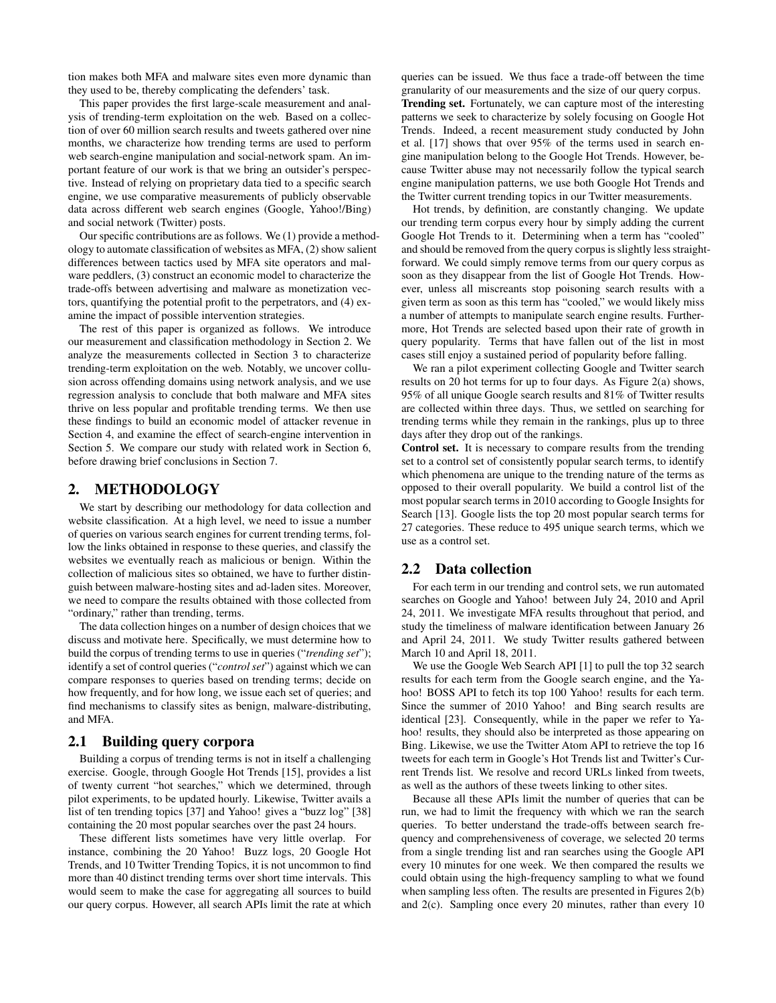tion makes both MFA and malware sites even more dynamic than they used to be, thereby complicating the defenders' task.

This paper provides the first large-scale measurement and analysis of trending-term exploitation on the web. Based on a collection of over 60 million search results and tweets gathered over nine months, we characterize how trending terms are used to perform web search-engine manipulation and social-network spam. An important feature of our work is that we bring an outsider's perspective. Instead of relying on proprietary data tied to a specific search engine, we use comparative measurements of publicly observable data across different web search engines (Google, Yahoo!/Bing) and social network (Twitter) posts.

Our specific contributions are as follows. We (1) provide a methodology to automate classification of websites as MFA, (2) show salient differences between tactics used by MFA site operators and malware peddlers, (3) construct an economic model to characterize the trade-offs between advertising and malware as monetization vectors, quantifying the potential profit to the perpetrators, and (4) examine the impact of possible intervention strategies.

The rest of this paper is organized as follows. We introduce our measurement and classification methodology in Section 2. We analyze the measurements collected in Section 3 to characterize trending-term exploitation on the web. Notably, we uncover collusion across offending domains using network analysis, and we use regression analysis to conclude that both malware and MFA sites thrive on less popular and profitable trending terms. We then use these findings to build an economic model of attacker revenue in Section 4, and examine the effect of search-engine intervention in Section 5. We compare our study with related work in Section 6, before drawing brief conclusions in Section 7.

### 2. METHODOLOGY

We start by describing our methodology for data collection and website classification. At a high level, we need to issue a number of queries on various search engines for current trending terms, follow the links obtained in response to these queries, and classify the websites we eventually reach as malicious or benign. Within the collection of malicious sites so obtained, we have to further distinguish between malware-hosting sites and ad-laden sites. Moreover, we need to compare the results obtained with those collected from "ordinary," rather than trending, terms.

The data collection hinges on a number of design choices that we discuss and motivate here. Specifically, we must determine how to build the corpus of trending terms to use in queries ("*trending set*"); identify a set of control queries ("*control set*") against which we can compare responses to queries based on trending terms; decide on how frequently, and for how long, we issue each set of queries; and find mechanisms to classify sites as benign, malware-distributing, and MFA.

### 2.1 Building query corpora

Building a corpus of trending terms is not in itself a challenging exercise. Google, through Google Hot Trends [15], provides a list of twenty current "hot searches," which we determined, through pilot experiments, to be updated hourly. Likewise, Twitter avails a list of ten trending topics [37] and Yahoo! gives a "buzz log" [38] containing the 20 most popular searches over the past 24 hours.

These different lists sometimes have very little overlap. For instance, combining the 20 Yahoo! Buzz logs, 20 Google Hot Trends, and 10 Twitter Trending Topics, it is not uncommon to find more than 40 distinct trending terms over short time intervals. This would seem to make the case for aggregating all sources to build our query corpus. However, all search APIs limit the rate at which queries can be issued. We thus face a trade-off between the time granularity of our measurements and the size of our query corpus. Trending set. Fortunately, we can capture most of the interesting patterns we seek to characterize by solely focusing on Google Hot Trends. Indeed, a recent measurement study conducted by John et al. [17] shows that over 95% of the terms used in search engine manipulation belong to the Google Hot Trends. However, because Twitter abuse may not necessarily follow the typical search engine manipulation patterns, we use both Google Hot Trends and the Twitter current trending topics in our Twitter measurements.

Hot trends, by definition, are constantly changing. We update our trending term corpus every hour by simply adding the current Google Hot Trends to it. Determining when a term has "cooled" and should be removed from the query corpus is slightly less straightforward. We could simply remove terms from our query corpus as soon as they disappear from the list of Google Hot Trends. However, unless all miscreants stop poisoning search results with a given term as soon as this term has "cooled," we would likely miss a number of attempts to manipulate search engine results. Furthermore, Hot Trends are selected based upon their rate of growth in query popularity. Terms that have fallen out of the list in most cases still enjoy a sustained period of popularity before falling.

We ran a pilot experiment collecting Google and Twitter search results on 20 hot terms for up to four days. As Figure 2(a) shows, 95% of all unique Google search results and 81% of Twitter results are collected within three days. Thus, we settled on searching for trending terms while they remain in the rankings, plus up to three days after they drop out of the rankings.

Control set. It is necessary to compare results from the trending set to a control set of consistently popular search terms, to identify which phenomena are unique to the trending nature of the terms as opposed to their overall popularity. We build a control list of the most popular search terms in 2010 according to Google Insights for Search [13]. Google lists the top 20 most popular search terms for 27 categories. These reduce to 495 unique search terms, which we use as a control set.

### 2.2 Data collection

For each term in our trending and control sets, we run automated searches on Google and Yahoo! between July 24, 2010 and April 24, 2011. We investigate MFA results throughout that period, and study the timeliness of malware identification between January 26 and April 24, 2011. We study Twitter results gathered between March 10 and April 18, 2011.

We use the Google Web Search API [1] to pull the top 32 search results for each term from the Google search engine, and the Yahoo! BOSS API to fetch its top 100 Yahoo! results for each term. Since the summer of 2010 Yahoo! and Bing search results are identical [23]. Consequently, while in the paper we refer to Yahoo! results, they should also be interpreted as those appearing on Bing. Likewise, we use the Twitter Atom API to retrieve the top 16 tweets for each term in Google's Hot Trends list and Twitter's Current Trends list. We resolve and record URLs linked from tweets, as well as the authors of these tweets linking to other sites.

Because all these APIs limit the number of queries that can be run, we had to limit the frequency with which we ran the search queries. To better understand the trade-offs between search frequency and comprehensiveness of coverage, we selected 20 terms from a single trending list and ran searches using the Google API every 10 minutes for one week. We then compared the results we could obtain using the high-frequency sampling to what we found when sampling less often. The results are presented in Figures 2(b) and 2(c). Sampling once every 20 minutes, rather than every 10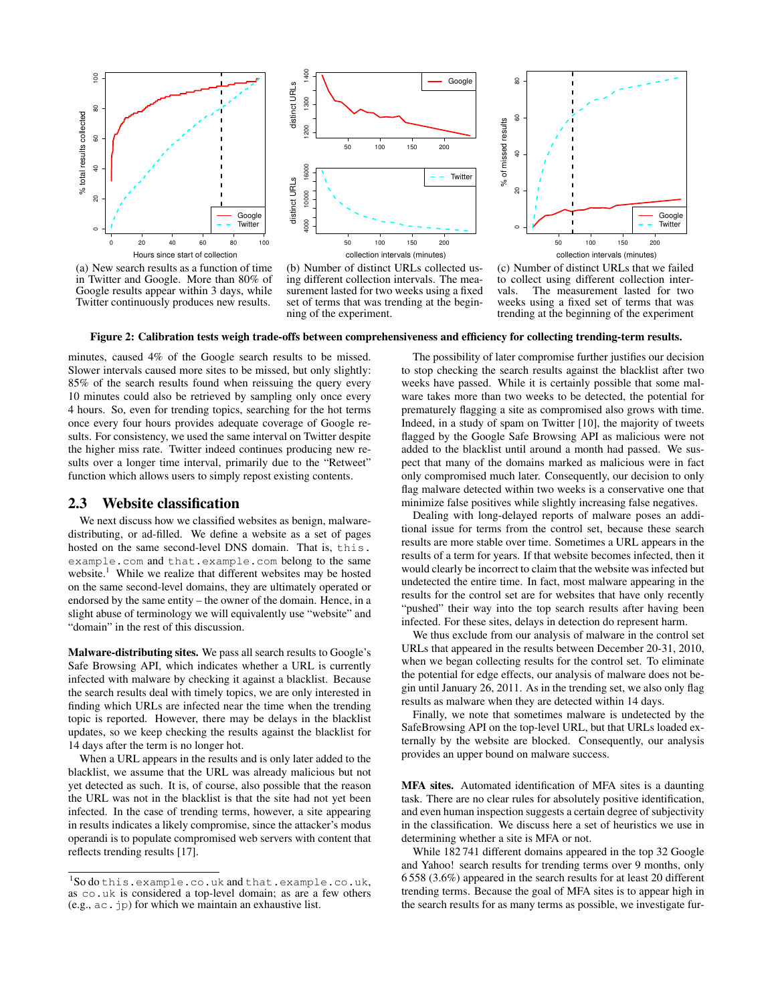



(a) New search results as a function of time in Twitter and Google. More than 80% of Google results appear within 3 days, while Twitter continuously produces new results.





(c) Number of distinct URLs that we failed to collect using different collection inter-<br>vals The measurement lasted for two The measurement lasted for two weeks using a fixed set of terms that was trending at the beginning of the experiment

#### Figure 2: Calibration tests weigh trade-offs between comprehensiveness and efficiency for collecting trending-term results.

minutes, caused 4% of the Google search results to be missed. Slower intervals caused more sites to be missed, but only slightly: 85% of the search results found when reissuing the query every 10 minutes could also be retrieved by sampling only once every 4 hours. So, even for trending topics, searching for the hot terms once every four hours provides adequate coverage of Google results. For consistency, we used the same interval on Twitter despite the higher miss rate. Twitter indeed continues producing new results over a longer time interval, primarily due to the "Retweet" function which allows users to simply repost existing contents.

### 2.3 Website classification

We next discuss how we classified websites as benign, malwaredistributing, or ad-filled. We define a website as a set of pages hosted on the same second-level DNS domain. That is, this. example.com and that.example.com belong to the same website.<sup>1</sup> While we realize that different websites may be hosted on the same second-level domains, they are ultimately operated or endorsed by the same entity – the owner of the domain. Hence, in a slight abuse of terminology we will equivalently use "website" and "domain" in the rest of this discussion.

Malware-distributing sites. We pass all search results to Google's Safe Browsing API, which indicates whether a URL is currently infected with malware by checking it against a blacklist. Because the search results deal with timely topics, we are only interested in finding which URLs are infected near the time when the trending topic is reported. However, there may be delays in the blacklist updates, so we keep checking the results against the blacklist for 14 days after the term is no longer hot.

When a URL appears in the results and is only later added to the blacklist, we assume that the URL was already malicious but not yet detected as such. It is, of course, also possible that the reason the URL was not in the blacklist is that the site had not yet been infected. In the case of trending terms, however, a site appearing in results indicates a likely compromise, since the attacker's modus operandi is to populate compromised web servers with content that reflects trending results [17].

The possibility of later compromise further justifies our decision to stop checking the search results against the blacklist after two weeks have passed. While it is certainly possible that some malware takes more than two weeks to be detected, the potential for prematurely flagging a site as compromised also grows with time. Indeed, in a study of spam on Twitter [10], the majority of tweets flagged by the Google Safe Browsing API as malicious were not added to the blacklist until around a month had passed. We suspect that many of the domains marked as malicious were in fact only compromised much later. Consequently, our decision to only flag malware detected within two weeks is a conservative one that minimize false positives while slightly increasing false negatives.

Dealing with long-delayed reports of malware poses an additional issue for terms from the control set, because these search results are more stable over time. Sometimes a URL appears in the results of a term for years. If that website becomes infected, then it would clearly be incorrect to claim that the website was infected but undetected the entire time. In fact, most malware appearing in the results for the control set are for websites that have only recently "pushed" their way into the top search results after having been infected. For these sites, delays in detection do represent harm.

We thus exclude from our analysis of malware in the control set URLs that appeared in the results between December 20-31, 2010, when we began collecting results for the control set. To eliminate the potential for edge effects, our analysis of malware does not begin until January 26, 2011. As in the trending set, we also only flag results as malware when they are detected within 14 days.

Finally, we note that sometimes malware is undetected by the SafeBrowsing API on the top-level URL, but that URLs loaded externally by the website are blocked. Consequently, our analysis provides an upper bound on malware success.

MFA sites. Automated identification of MFA sites is a daunting task. There are no clear rules for absolutely positive identification, and even human inspection suggests a certain degree of subjectivity in the classification. We discuss here a set of heuristics we use in determining whether a site is MFA or not.

While 182 741 different domains appeared in the top 32 Google and Yahoo! search results for trending terms over 9 months, only 6 558 (3.6%) appeared in the search results for at least 20 different trending terms. Because the goal of MFA sites is to appear high in the search results for as many terms as possible, we investigate fur-

<sup>1</sup> So do this.example.co.uk and that.example.co.uk, as co.uk is considered a top-level domain; as are a few others (e.g., ac.jp) for which we maintain an exhaustive list.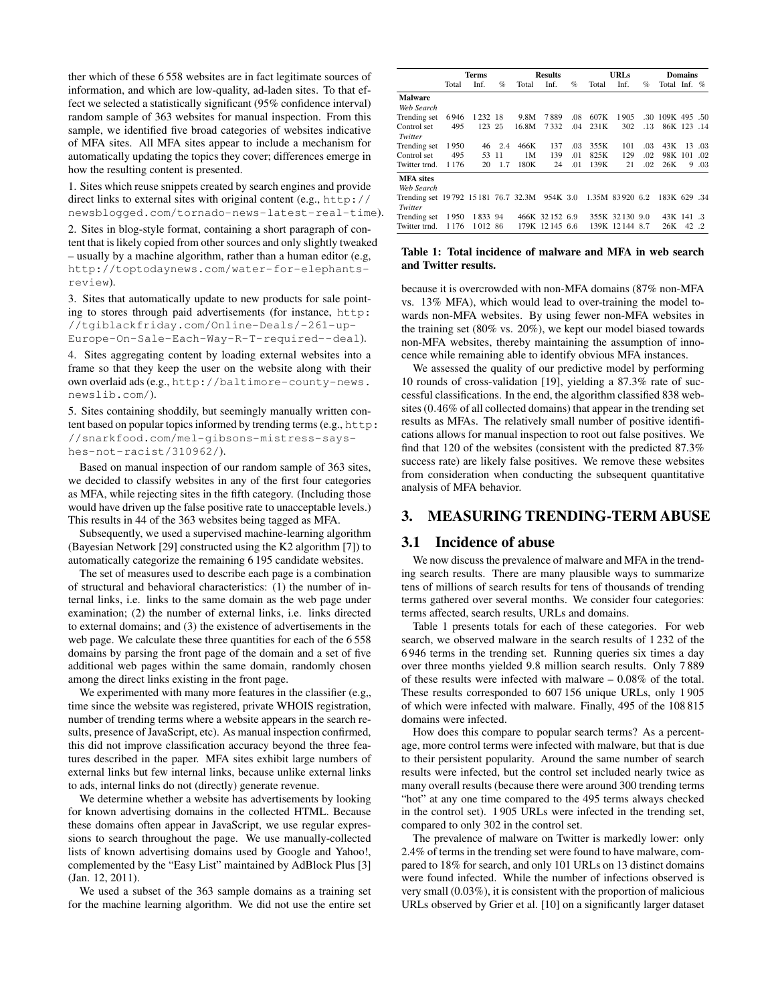ther which of these 6 558 websites are in fact legitimate sources of information, and which are low-quality, ad-laden sites. To that effect we selected a statistically significant (95% confidence interval) random sample of 363 websites for manual inspection. From this sample, we identified five broad categories of websites indicative of MFA sites. All MFA sites appear to include a mechanism for automatically updating the topics they cover; differences emerge in how the resulting content is presented.

1. Sites which reuse snippets created by search engines and provide direct links to external sites with original content (e.g., http:// newsblogged.com/tornado-news-latest-real-time).

2. Sites in blog-style format, containing a short paragraph of content that is likely copied from other sources and only slightly tweaked – usually by a machine algorithm, rather than a human editor (e.g, http://toptodaynews.com/water-for-elephantsreview).

3. Sites that automatically update to new products for sale pointing to stores through paid advertisements (for instance, http: //tgiblackfriday.com/Online-Deals/-261-up-Europe-On-Sale-Each-Way-R-T-required--deal).

4. Sites aggregating content by loading external websites into a frame so that they keep the user on the website along with their own overlaid ads (e.g., http://baltimore-county-news. newslib.com/).

5. Sites containing shoddily, but seemingly manually written content based on popular topics informed by trending terms (e.g., http: //snarkfood.com/mel-gibsons-mistress-sayshes-not-racist/310962/).

Based on manual inspection of our random sample of 363 sites, we decided to classify websites in any of the first four categories as MFA, while rejecting sites in the fifth category. (Including those would have driven up the false positive rate to unacceptable levels.) This results in 44 of the 363 websites being tagged as MFA.

Subsequently, we used a supervised machine-learning algorithm (Bayesian Network [29] constructed using the K2 algorithm [7]) to automatically categorize the remaining 6 195 candidate websites.

The set of measures used to describe each page is a combination of structural and behavioral characteristics: (1) the number of internal links, i.e. links to the same domain as the web page under examination; (2) the number of external links, i.e. links directed to external domains; and (3) the existence of advertisements in the web page. We calculate these three quantities for each of the 6 558 domains by parsing the front page of the domain and a set of five additional web pages within the same domain, randomly chosen among the direct links existing in the front page.

We experimented with many more features in the classifier  $(e.g.,)$ time since the website was registered, private WHOIS registration, number of trending terms where a website appears in the search results, presence of JavaScript, etc). As manual inspection confirmed, this did not improve classification accuracy beyond the three features described in the paper. MFA sites exhibit large numbers of external links but few internal links, because unlike external links to ads, internal links do not (directly) generate revenue.

We determine whether a website has advertisements by looking for known advertising domains in the collected HTML. Because these domains often appear in JavaScript, we use regular expressions to search throughout the page. We use manually-collected lists of known advertising domains used by Google and Yahoo!, complemented by the "Easy List" maintained by AdBlock Plus [3] (Jan. 12, 2011).

We used a subset of the 363 sample domains as a training set for the machine learning algorithm. We did not use the entire set

|                                     | <b>Terms</b> |         |     | <b>Results</b> |                | <b>URLs</b> |       |                 | Domains |              |             |         |
|-------------------------------------|--------------|---------|-----|----------------|----------------|-------------|-------|-----------------|---------|--------------|-------------|---------|
|                                     | Total        | Inf.    | %   | Total          | Inf.           | %           | Total | Inf.            | %       | Total Inf. % |             |         |
| <b>Malware</b>                      |              |         |     |                |                |             |       |                 |         |              |             |         |
| Web Search                          |              |         |     |                |                |             |       |                 |         |              |             |         |
| Trending set                        | 6946         | 1232 18 |     | 9.8M           | 7889           | .08         | 607K  | 1905            | .30     | 109K 495 .50 |             |         |
| Control set                         | 495          | 123 25  |     | 16.8M          | 7332           | .04         | 231K  | 302             | .13     |              | 86K 123 .14 |         |
| Twitter                             |              |         |     |                |                |             |       |                 |         |              |             |         |
| Trending set                        | 1950         | 46      | 2.4 | 466K           | 137            | .03         | 355K  | 101             | .03     | 43K          | 13          | .03     |
| Control set                         | 495          | 53      | -11 | 1M             | 139            | .01         | 825K  | 129             | .02     | 98K 101      |             | $.02\,$ |
| Twitter trnd.                       | 1176         | 20      | 1.7 | 180K           | 24             | .01         | 139K  | 21              | .02     | 26K          | 9.          | .03     |
| <b>MFA</b> sites                    |              |         |     |                |                |             |       |                 |         |              |             |         |
| Web Search                          |              |         |     |                |                |             |       |                 |         |              |             |         |
| Trending set 19792 15181 76.7 32.3M |              |         |     |                | 954K 3.0       |             |       | 1.35M 83920 6.2 |         | 183K 629 .34 |             |         |
| Twitter                             |              |         |     |                |                |             |       |                 |         |              |             |         |
| Trending set                        | 1950         | 1833 94 |     |                | 466K 32152 6.9 |             |       | 355K 32130 9.0  |         | 43K 141 .3   |             |         |
| Twitter trnd.                       | 1176         | 1012 86 |     |                | 179K 12145 6.6 |             |       | 139K 12144 8.7  |         | 26K          | 42.2        |         |

### Table 1: Total incidence of malware and MFA in web search and Twitter results.

because it is overcrowded with non-MFA domains (87% non-MFA vs. 13% MFA), which would lead to over-training the model towards non-MFA websites. By using fewer non-MFA websites in the training set (80% vs. 20%), we kept our model biased towards non-MFA websites, thereby maintaining the assumption of innocence while remaining able to identify obvious MFA instances.

We assessed the quality of our predictive model by performing 10 rounds of cross-validation [19], yielding a 87.3% rate of successful classifications. In the end, the algorithm classified 838 websites (0.46% of all collected domains) that appear in the trending set results as MFAs. The relatively small number of positive identifications allows for manual inspection to root out false positives. We find that 120 of the websites (consistent with the predicted 87.3% success rate) are likely false positives. We remove these websites from consideration when conducting the subsequent quantitative analysis of MFA behavior.

# 3. MEASURING TRENDING-TERM ABUSE

### 3.1 Incidence of abuse

We now discuss the prevalence of malware and MFA in the trending search results. There are many plausible ways to summarize tens of millions of search results for tens of thousands of trending terms gathered over several months. We consider four categories: terms affected, search results, URLs and domains.

Table 1 presents totals for each of these categories. For web search, we observed malware in the search results of 1 232 of the 6 946 terms in the trending set. Running queries six times a day over three months yielded 9.8 million search results. Only 7 889 of these results were infected with malware – 0.08% of the total. These results corresponded to 607 156 unique URLs, only 1 905 of which were infected with malware. Finally, 495 of the 108 815 domains were infected.

How does this compare to popular search terms? As a percentage, more control terms were infected with malware, but that is due to their persistent popularity. Around the same number of search results were infected, but the control set included nearly twice as many overall results (because there were around 300 trending terms "hot" at any one time compared to the 495 terms always checked in the control set). 1 905 URLs were infected in the trending set, compared to only 302 in the control set.

The prevalence of malware on Twitter is markedly lower: only 2.4% of terms in the trending set were found to have malware, compared to 18% for search, and only 101 URLs on 13 distinct domains were found infected. While the number of infections observed is very small (0.03%), it is consistent with the proportion of malicious URLs observed by Grier et al. [10] on a significantly larger dataset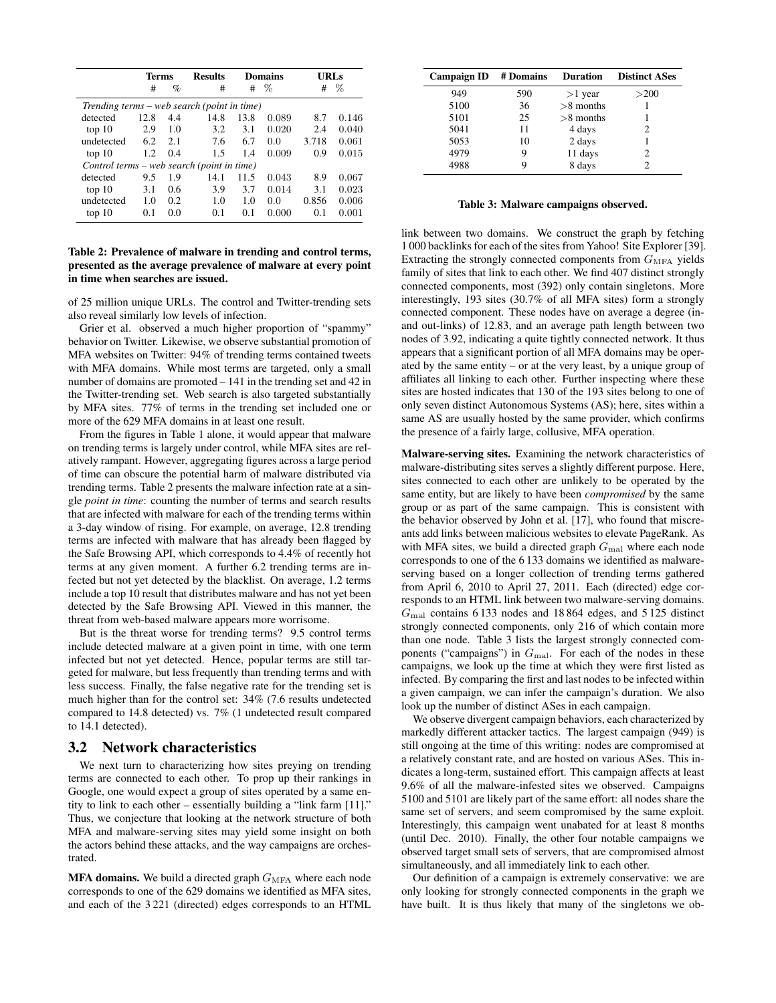|                                             | <b>Terms</b> |      | <b>Results</b> |      | <b>Domains</b> |       | <b>URLs</b> |  |  |
|---------------------------------------------|--------------|------|----------------|------|----------------|-------|-------------|--|--|
|                                             | #            | $\%$ | #              | #    | $\%$           | #     | $\%$        |  |  |
| Trending terms – web search (point in time) |              |      |                |      |                |       |             |  |  |
| detected                                    | 12.8         | 4.4  | 14.8           | 13.8 | 0.089          | 8.7   | 0.146       |  |  |
| top 10                                      | 2.9          | 1.0  | 3.2            | 3.1  | 0.020          | 2.4   | 0.040       |  |  |
| undetected                                  | 6.2          | 2.1  | 7.6            | 6.7  | 0.0            | 3.718 | 0.061       |  |  |
| top 10                                      | 1.2          | 0.4  | 1.5            | 1.4  | 0.009          | 0.9   | 0.015       |  |  |
| Control terms – web search (point in time)  |              |      |                |      |                |       |             |  |  |
| detected                                    | 9.5          | 1.9  | 14.1           | 11.5 | 0.043          | 8.9   | 0.067       |  |  |
| top 10                                      | 3.1          | 0.6  | 3.9            | 3.7  | 0.014          | 3.1   | 0.023       |  |  |
| undetected                                  | 1.0          | 0.2  | 1.0            | 1.0  | 0.0            | 0.856 | 0.006       |  |  |
| top 10                                      | 0.1          | 0.0  | 0.1            | 0.1  | 0.000          | 0.1   | 0.001       |  |  |

### Table 2: Prevalence of malware in trending and control terms, presented as the average prevalence of malware at every point in time when searches are issued.

of 25 million unique URLs. The control and Twitter-trending sets also reveal similarly low levels of infection.

Grier et al. observed a much higher proportion of "spammy" behavior on Twitter. Likewise, we observe substantial promotion of MFA websites on Twitter: 94% of trending terms contained tweets with MFA domains. While most terms are targeted, only a small number of domains are promoted – 141 in the trending set and 42 in the Twitter-trending set. Web search is also targeted substantially by MFA sites. 77% of terms in the trending set included one or more of the 629 MFA domains in at least one result.

From the figures in Table 1 alone, it would appear that malware on trending terms is largely under control, while MFA sites are relatively rampant. However, aggregating figures across a large period of time can obscure the potential harm of malware distributed via trending terms. Table 2 presents the malware infection rate at a single *point in time*: counting the number of terms and search results that are infected with malware for each of the trending terms within a 3-day window of rising. For example, on average, 12.8 trending terms are infected with malware that has already been flagged by the Safe Browsing API, which corresponds to 4.4% of recently hot terms at any given moment. A further 6.2 trending terms are infected but not yet detected by the blacklist. On average, 1.2 terms include a top 10 result that distributes malware and has not yet been detected by the Safe Browsing API. Viewed in this manner, the threat from web-based malware appears more worrisome.

But is the threat worse for trending terms? 9.5 control terms include detected malware at a given point in time, with one term infected but not yet detected. Hence, popular terms are still targeted for malware, but less frequently than trending terms and with less success. Finally, the false negative rate for the trending set is much higher than for the control set: 34% (7.6 results undetected compared to 14.8 detected) vs. 7% (1 undetected result compared to 14.1 detected).

### 3.2 Network characteristics

We next turn to characterizing how sites preying on trending terms are connected to each other. To prop up their rankings in Google, one would expect a group of sites operated by a same entity to link to each other – essentially building a "link farm [11]." Thus, we conjecture that looking at the network structure of both MFA and malware-serving sites may yield some insight on both the actors behind these attacks, and the way campaigns are orchestrated.

**MFA domains.** We build a directed graph  $G_{\text{MFA}}$  where each node corresponds to one of the 629 domains we identified as MFA sites, and each of the 3 221 (directed) edges corresponds to an HTML

| <b>Campaign ID</b> | # Domains | <b>Duration</b> | <b>Distinct ASes</b> |
|--------------------|-----------|-----------------|----------------------|
| 949                | 590       | $>1$ year       | >200                 |
| 5100               | 36        | $>8$ months     |                      |
| 5101               | 25        | $>8$ months     |                      |
| 5041               | 11        | 4 days          | 2                    |
| 5053               | 10        | 2 days          |                      |
| 4979               |           | 11 days         | っ                    |
| 4988               |           | 8 days          |                      |

#### Table 3: Malware campaigns observed.

link between two domains. We construct the graph by fetching 1 000 backlinks for each of the sites from Yahoo! Site Explorer [39]. Extracting the strongly connected components from  $G_{\text{MFA}}$  yields family of sites that link to each other. We find 407 distinct strongly connected components, most (392) only contain singletons. More interestingly, 193 sites (30.7% of all MFA sites) form a strongly connected component. These nodes have on average a degree (inand out-links) of 12.83, and an average path length between two nodes of 3.92, indicating a quite tightly connected network. It thus appears that a significant portion of all MFA domains may be operated by the same entity – or at the very least, by a unique group of affiliates all linking to each other. Further inspecting where these sites are hosted indicates that 130 of the 193 sites belong to one of only seven distinct Autonomous Systems (AS); here, sites within a same AS are usually hosted by the same provider, which confirms the presence of a fairly large, collusive, MFA operation.

Malware-serving sites. Examining the network characteristics of malware-distributing sites serves a slightly different purpose. Here, sites connected to each other are unlikely to be operated by the same entity, but are likely to have been *compromised* by the same group or as part of the same campaign. This is consistent with the behavior observed by John et al. [17], who found that miscreants add links between malicious websites to elevate PageRank. As with MFA sites, we build a directed graph  $G_{\text{mal}}$  where each node corresponds to one of the 6 133 domains we identified as malwareserving based on a longer collection of trending terms gathered from April 6, 2010 to April 27, 2011. Each (directed) edge corresponds to an HTML link between two malware-serving domains.  $G<sub>mal</sub> contains 6133 nodes and 18864 edges, and 5125 distinct$ strongly connected components, only 216 of which contain more than one node. Table 3 lists the largest strongly connected components ("campaigns") in  $G_{\text{mal}}$ . For each of the nodes in these campaigns, we look up the time at which they were first listed as infected. By comparing the first and last nodes to be infected within a given campaign, we can infer the campaign's duration. We also look up the number of distinct ASes in each campaign.

We observe divergent campaign behaviors, each characterized by markedly different attacker tactics. The largest campaign (949) is still ongoing at the time of this writing: nodes are compromised at a relatively constant rate, and are hosted on various ASes. This indicates a long-term, sustained effort. This campaign affects at least 9.6% of all the malware-infested sites we observed. Campaigns 5100 and 5101 are likely part of the same effort: all nodes share the same set of servers, and seem compromised by the same exploit. Interestingly, this campaign went unabated for at least 8 months (until Dec. 2010). Finally, the other four notable campaigns we observed target small sets of servers, that are compromised almost simultaneously, and all immediately link to each other.

Our definition of a campaign is extremely conservative: we are only looking for strongly connected components in the graph we have built. It is thus likely that many of the singletons we ob-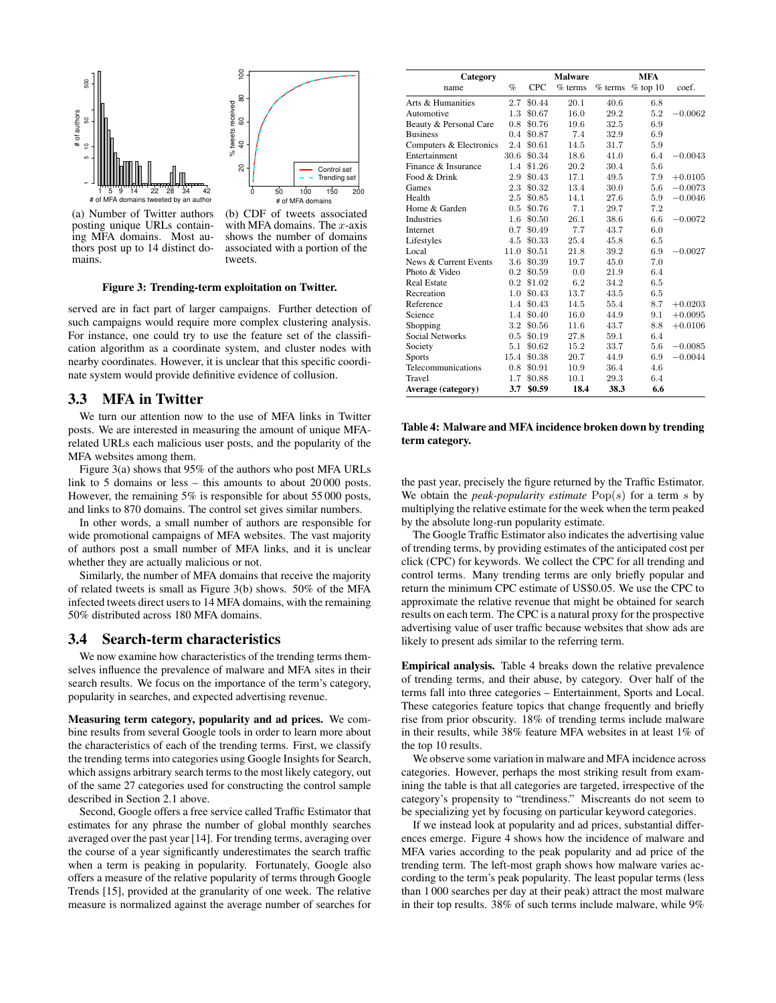

(a) Number of Twitter authors posting unique URLs containing MFA domains. Most authors post up to 14 distinct domains.

(b) CDF of tweets associated with MFA domains. The  $x$ -axis shows the number of domains associated with a portion of the tweets.

#### Figure 3: Trending-term exploitation on Twitter.

served are in fact part of larger campaigns. Further detection of such campaigns would require more complex clustering analysis. For instance, one could try to use the feature set of the classification algorithm as a coordinate system, and cluster nodes with nearby coordinates. However, it is unclear that this specific coordinate system would provide definitive evidence of collusion.

### 3.3 MFA in Twitter

We turn our attention now to the use of MFA links in Twitter posts. We are interested in measuring the amount of unique MFArelated URLs each malicious user posts, and the popularity of the MFA websites among them.

Figure 3(a) shows that 95% of the authors who post MFA URLs link to 5 domains or less – this amounts to about 20 000 posts. However, the remaining 5% is responsible for about 55 000 posts, and links to 870 domains. The control set gives similar numbers.

In other words, a small number of authors are responsible for wide promotional campaigns of MFA websites. The vast majority of authors post a small number of MFA links, and it is unclear whether they are actually malicious or not.

Similarly, the number of MFA domains that receive the majority of related tweets is small as Figure 3(b) shows. 50% of the MFA infected tweets direct users to 14 MFA domains, with the remaining 50% distributed across 180 MFA domains.

### 3.4 Search-term characteristics

We now examine how characteristics of the trending terms themselves influence the prevalence of malware and MFA sites in their search results. We focus on the importance of the term's category, popularity in searches, and expected advertising revenue.

Measuring term category, popularity and ad prices. We combine results from several Google tools in order to learn more about the characteristics of each of the trending terms. First, we classify the trending terms into categories using Google Insights for Search, which assigns arbitrary search terms to the most likely category, out of the same 27 categories used for constructing the control sample described in Section 2.1 above.

Second, Google offers a free service called Traffic Estimator that estimates for any phrase the number of global monthly searches averaged over the past year [14]. For trending terms, averaging over the course of a year significantly underestimates the search traffic when a term is peaking in popularity. Fortunately, Google also offers a measure of the relative popularity of terms through Google Trends [15], provided at the granularity of one week. The relative measure is normalized against the average number of searches for

| Category                |      |            | <b>Malware</b> |           | <b>MFA</b> |           |
|-------------------------|------|------------|----------------|-----------|------------|-----------|
| name                    | $\%$ | <b>CPC</b> | $%$ terms      | $%$ terms | $%$ top 10 | coef.     |
| Arts & Humanities       | 2.7  | \$0.44     | 20.1           | 40.6      | 6.8        |           |
| Automotive              | 1.3  | \$0.67     | 16.0           | 29.2      | 5.2        | $-0.0062$ |
| Beauty & Personal Care  | 0.8  | \$0.76     | 19.6           | 32.5      | 6.9        |           |
| <b>Business</b>         | 0.4  | \$0.87     | 7.4            | 32.9      | 6.9        |           |
| Computers & Electronics | 2.4  | \$0.61     | 14.5           | 31.7      | 5.9        |           |
| Entertainment           | 30.6 | \$0.34     | 18.6           | 41.0      | 6.4        | $-0.0043$ |
| Finance & Insurance     | 1.4  | \$1.26     | 20.2           | 30.4      | 5.6        |           |
| Food & Drink            | 2.9  | \$0.43     | 17.1           | 49.5      | 7.9        | $+0.0105$ |
| Games                   | 2.3  | \$0.32     | 13.4           | 30.0      | 5.6        | $-0.0073$ |
| Health                  | 2.5  | \$0.85     | 14.1           | 27.6      | 5.9        | $-0.0046$ |
| Home & Garden           | 0.5  | \$0.76     | 7.1            | 29.7      | 7.2        |           |
| <b>Industries</b>       | 1.6  | \$0.50     | 26.1           | 38.6      | 6.6        | $-0.0072$ |
| Internet                | 0.7  | \$0.49     | 7.7            | 43.7      | 6.0        |           |
| Lifestyles              | 4.5  | \$0.33     | 25.4           | 45.8      | 6.5        |           |
| Local                   | 11.0 | \$0.51     | 21.8           | 39.2      | 6.9        | $-0.0027$ |
| News & Current Events   | 3.6  | \$0.39     | 19.7           | 45.0      | 7.0        |           |
| Photo & Video           | 0.2  | \$0.59     | 0.0            | 21.9      | 6.4        |           |
| <b>Real Estate</b>      | 0.2  | \$1.02     | 6.2            | 34.2      | 6.5        |           |
| Recreation              | 1.0  | \$0.43     | 13.7           | 43.5      | 6.5        |           |
| Reference               | 1.4  | \$0.43     | 14.5           | 55.4      | 8.7        | $+0.0203$ |
| Science                 | 1.4  | \$0.40     | 16.0           | 44.9      | 9.1        | $+0.0095$ |
| Shopping                | 3.2  | \$0.56     | 11.6           | 43.7      | 8.8        | $+0.0106$ |
| Social Networks         | 0.5  | \$0.19     | 27.8           | 59.1      | 6.4        |           |
| Society                 | 5.1  | \$0.62     | 15.2           | 33.7      | 5.6        | $-0.0085$ |
| <b>Sports</b>           | 15.4 | \$0.38     | 20.7           | 44.9      | 6.9        | $-0.0044$ |
| Telecommunications      | 0.8  | \$0.91     | 10.9           | 36.4      | 4.6        |           |
| Travel                  | 1.7  | \$0.88     | 10.1           | 29.3      | 6.4        |           |
| Average (category)      | 3.7  | \$0.59     | 18.4           | 38.3      | 6.6        |           |

### Table 4: Malware and MFA incidence broken down by trending term category.

the past year, precisely the figure returned by the Traffic Estimator. We obtain the *peak-popularity estimate* Pop(s) for a term s by multiplying the relative estimate for the week when the term peaked by the absolute long-run popularity estimate.

The Google Traffic Estimator also indicates the advertising value of trending terms, by providing estimates of the anticipated cost per click (CPC) for keywords. We collect the CPC for all trending and control terms. Many trending terms are only briefly popular and return the minimum CPC estimate of US\$0.05. We use the CPC to approximate the relative revenue that might be obtained for search results on each term. The CPC is a natural proxy for the prospective advertising value of user traffic because websites that show ads are likely to present ads similar to the referring term.

Empirical analysis. Table 4 breaks down the relative prevalence of trending terms, and their abuse, by category. Over half of the terms fall into three categories – Entertainment, Sports and Local. These categories feature topics that change frequently and briefly rise from prior obscurity. 18% of trending terms include malware in their results, while 38% feature MFA websites in at least 1% of the top 10 results.

We observe some variation in malware and MFA incidence across categories. However, perhaps the most striking result from examining the table is that all categories are targeted, irrespective of the category's propensity to "trendiness." Miscreants do not seem to be specializing yet by focusing on particular keyword categories.

If we instead look at popularity and ad prices, substantial differences emerge. Figure 4 shows how the incidence of malware and MFA varies according to the peak popularity and ad price of the trending term. The left-most graph shows how malware varies according to the term's peak popularity. The least popular terms (less than 1 000 searches per day at their peak) attract the most malware in their top results. 38% of such terms include malware, while 9%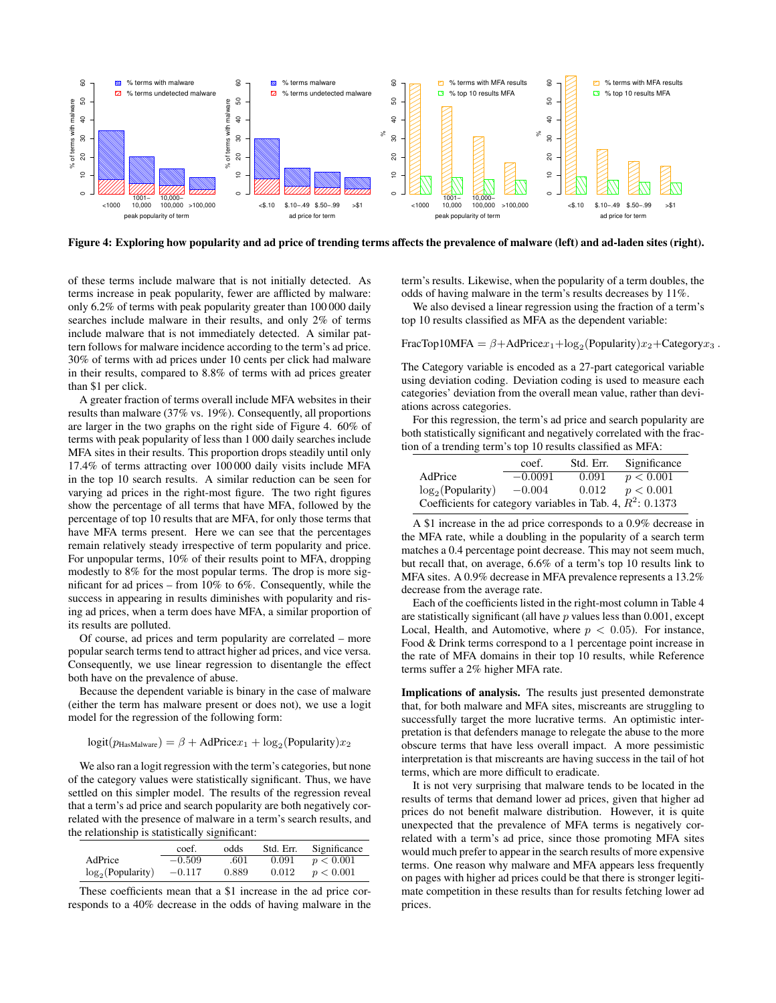

Figure 4: Exploring how popularity and ad price of trending terms affects the prevalence of malware (left) and ad-laden sites (right).

of these terms include malware that is not initially detected. As terms increase in peak popularity, fewer are afflicted by malware: only 6.2% of terms with peak popularity greater than 100 000 daily searches include malware in their results, and only 2% of terms include malware that is not immediately detected. A similar pattern follows for malware incidence according to the term's ad price. 30% of terms with ad prices under 10 cents per click had malware in their results, compared to 8.8% of terms with ad prices greater than \$1 per click.

A greater fraction of terms overall include MFA websites in their results than malware (37% vs. 19%). Consequently, all proportions are larger in the two graphs on the right side of Figure 4. 60% of terms with peak popularity of less than 1 000 daily searches include MFA sites in their results. This proportion drops steadily until only 17.4% of terms attracting over 100 000 daily visits include MFA in the top 10 search results. A similar reduction can be seen for varying ad prices in the right-most figure. The two right figures show the percentage of all terms that have MFA, followed by the percentage of top 10 results that are MFA, for only those terms that have MFA terms present. Here we can see that the percentages remain relatively steady irrespective of term popularity and price. For unpopular terms, 10% of their results point to MFA, dropping modestly to 8% for the most popular terms. The drop is more significant for ad prices – from 10% to 6%. Consequently, while the success in appearing in results diminishes with popularity and rising ad prices, when a term does have MFA, a similar proportion of its results are polluted.

Of course, ad prices and term popularity are correlated – more popular search terms tend to attract higher ad prices, and vice versa. Consequently, we use linear regression to disentangle the effect both have on the prevalence of abuse.

Because the dependent variable is binary in the case of malware (either the term has malware present or does not), we use a logit model for the regression of the following form:

$$
logit(p_{\text{HasMalware}}) = \beta + \text{AdPrice}x_1 + \log_2(\text{Popularity})x_2
$$

We also ran a logit regression with the term's categories, but none of the category values were statistically significant. Thus, we have settled on this simpler model. The results of the regression reveal that a term's ad price and search popularity are both negatively correlated with the presence of malware in a term's search results, and the relationship is statistically significant:

|                     | coef.    | odds  | Std. Err. | Significance |
|---------------------|----------|-------|-----------|--------------|
| AdPrice             | $-0.509$ | .601  | 0.091     | p < 0.001    |
| $log_2(Popularity)$ | $-0.117$ | 0.889 | 0.012     | p < 0.001    |

These coefficients mean that a \$1 increase in the ad price corresponds to a 40% decrease in the odds of having malware in the term's results. Likewise, when the popularity of a term doubles, the odds of having malware in the term's results decreases by 11%.

We also devised a linear regression using the fraction of a term's top 10 results classified as MFA as the dependent variable:

FracTop10MFA =  $\beta$ +AdPrice $x_1 + \log_2(P$ opularity) $x_2 +$ Category $x_3$ .

The Category variable is encoded as a 27-part categorical variable using deviation coding. Deviation coding is used to measure each categories' deviation from the overall mean value, rather than deviations across categories.

For this regression, the term's ad price and search popularity are both statistically significant and negatively correlated with the fraction of a trending term's top 10 results classified as MFA:

|                                                               | coef.     | Std. Err. | Significance |
|---------------------------------------------------------------|-----------|-----------|--------------|
| AdPrice                                                       | $-0.0091$ | 0.091     | p < 0.001    |
| $log_2(Popularity)$                                           | $-0.004$  | 0.012     | p < 0.001    |
| Coefficients for category variables in Tab. 4, $R^2$ : 0.1373 |           |           |              |

A \$1 increase in the ad price corresponds to a 0.9% decrease in the MFA rate, while a doubling in the popularity of a search term matches a 0.4 percentage point decrease. This may not seem much, but recall that, on average, 6.6% of a term's top 10 results link to MFA sites. A 0.9% decrease in MFA prevalence represents a 13.2% decrease from the average rate.

Each of the coefficients listed in the right-most column in Table 4 are statistically significant (all have  $p$  values less than 0.001, except Local, Health, and Automotive, where  $p < 0.05$ ). For instance, Food & Drink terms correspond to a 1 percentage point increase in the rate of MFA domains in their top 10 results, while Reference terms suffer a 2% higher MFA rate.

Implications of analysis. The results just presented demonstrate that, for both malware and MFA sites, miscreants are struggling to successfully target the more lucrative terms. An optimistic interpretation is that defenders manage to relegate the abuse to the more obscure terms that have less overall impact. A more pessimistic interpretation is that miscreants are having success in the tail of hot terms, which are more difficult to eradicate.

It is not very surprising that malware tends to be located in the results of terms that demand lower ad prices, given that higher ad prices do not benefit malware distribution. However, it is quite unexpected that the prevalence of MFA terms is negatively correlated with a term's ad price, since those promoting MFA sites would much prefer to appear in the search results of more expensive terms. One reason why malware and MFA appears less frequently on pages with higher ad prices could be that there is stronger legitimate competition in these results than for results fetching lower ad prices.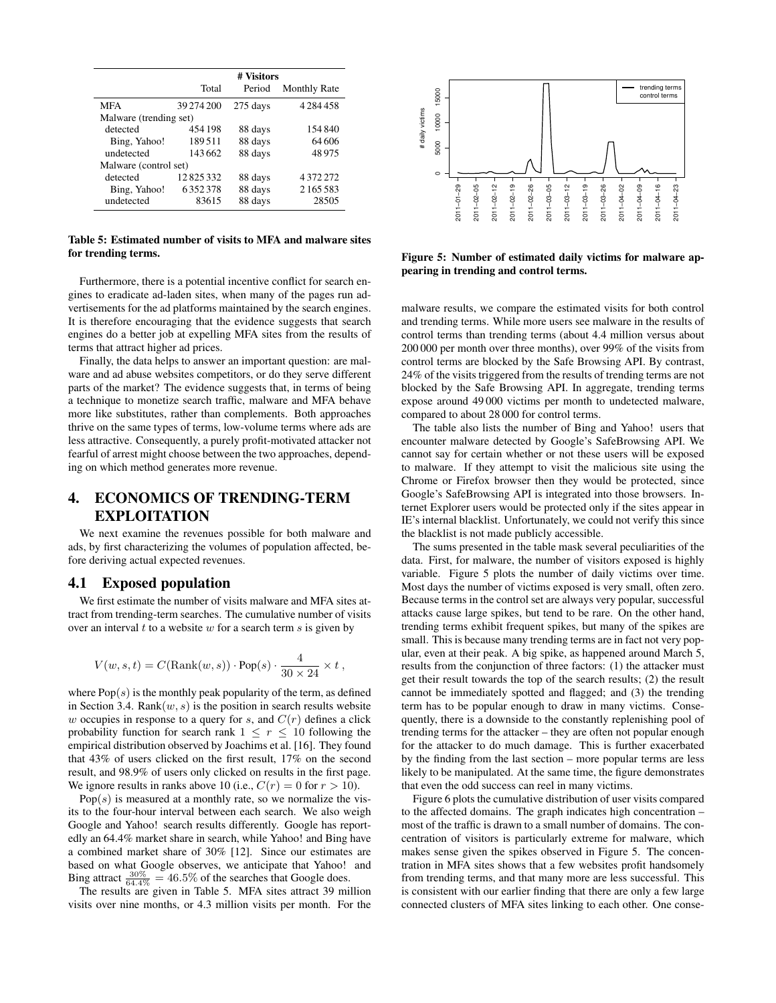|                        | # Visitors |          |                     |  |
|------------------------|------------|----------|---------------------|--|
|                        | Total      | Period   | <b>Monthly Rate</b> |  |
| <b>MFA</b>             | 39 274 200 | 275 days | 4284458             |  |
| Malware (trending set) |            |          |                     |  |
| detected               | 454 198    | 88 days  | 154840              |  |
| Bing, Yahoo!           | 189.511    | 88 days  | 64 606              |  |
| undetected             | 143662     | 88 days  | 48975               |  |
| Malware (control set)  |            |          |                     |  |
| detected               | 12825332   | 88 days  | 4372272             |  |
| Bing, Yahoo!           | 6352378    | 88 days  | 2165583             |  |
| undetected             | 83615      | 88 days  | 28505               |  |

Table 5: Estimated number of visits to MFA and malware sites for trending terms.

Furthermore, there is a potential incentive conflict for search engines to eradicate ad-laden sites, when many of the pages run advertisements for the ad platforms maintained by the search engines. It is therefore encouraging that the evidence suggests that search engines do a better job at expelling MFA sites from the results of terms that attract higher ad prices.

Finally, the data helps to answer an important question: are malware and ad abuse websites competitors, or do they serve different parts of the market? The evidence suggests that, in terms of being a technique to monetize search traffic, malware and MFA behave more like substitutes, rather than complements. Both approaches thrive on the same types of terms, low-volume terms where ads are less attractive. Consequently, a purely profit-motivated attacker not fearful of arrest might choose between the two approaches, depending on which method generates more revenue.

# 4. ECONOMICS OF TRENDING-TERM EXPLOITATION

We next examine the revenues possible for both malware and ads, by first characterizing the volumes of population affected, before deriving actual expected revenues.

### 4.1 Exposed population

We first estimate the number of visits malware and MFA sites attract from trending-term searches. The cumulative number of visits over an interval  $t$  to a website  $w$  for a search term  $s$  is given by

$$
V(w,s,t) = C(\textrm{Rank}(w,s)) \cdot \textrm{Pop}(s) \cdot \frac{4}{30 \times 24} \times t\;,
$$

where  $Pop(s)$  is the monthly peak popularity of the term, as defined in Section 3.4. Rank $(w, s)$  is the position in search results website w occupies in response to a query for s, and  $C(r)$  defines a click probability function for search rank  $1 \leq r \leq 10$  following the empirical distribution observed by Joachims et al. [16]. They found that 43% of users clicked on the first result, 17% on the second result, and 98.9% of users only clicked on results in the first page. We ignore results in ranks above 10 (i.e.,  $C(r) = 0$  for  $r > 10$ ).

 $Pop(s)$  is measured at a monthly rate, so we normalize the visits to the four-hour interval between each search. We also weigh Google and Yahoo! search results differently. Google has reportedly an 64.4% market share in search, while Yahoo! and Bing have a combined market share of 30% [12]. Since our estimates are based on what Google observes, we anticipate that Yahoo! and Bing attract  $\frac{30\%}{64.4\%} = 46.5\%$  of the searches that Google does.

The results are given in Table 5. MFA sites attract 39 million visits over nine months, or 4.3 million visits per month. For the



Figure 5: Number of estimated daily victims for malware appearing in trending and control terms.

malware results, we compare the estimated visits for both control and trending terms. While more users see malware in the results of control terms than trending terms (about 4.4 million versus about 200 000 per month over three months), over 99% of the visits from control terms are blocked by the Safe Browsing API. By contrast, 24% of the visits triggered from the results of trending terms are not blocked by the Safe Browsing API. In aggregate, trending terms expose around 49 000 victims per month to undetected malware, compared to about 28 000 for control terms.

The table also lists the number of Bing and Yahoo! users that encounter malware detected by Google's SafeBrowsing API. We cannot say for certain whether or not these users will be exposed to malware. If they attempt to visit the malicious site using the Chrome or Firefox browser then they would be protected, since Google's SafeBrowsing API is integrated into those browsers. Internet Explorer users would be protected only if the sites appear in IE's internal blacklist. Unfortunately, we could not verify this since the blacklist is not made publicly accessible.

The sums presented in the table mask several peculiarities of the data. First, for malware, the number of visitors exposed is highly variable. Figure 5 plots the number of daily victims over time. Most days the number of victims exposed is very small, often zero. Because terms in the control set are always very popular, successful attacks cause large spikes, but tend to be rare. On the other hand, trending terms exhibit frequent spikes, but many of the spikes are small. This is because many trending terms are in fact not very popular, even at their peak. A big spike, as happened around March 5, results from the conjunction of three factors: (1) the attacker must get their result towards the top of the search results; (2) the result cannot be immediately spotted and flagged; and (3) the trending term has to be popular enough to draw in many victims. Consequently, there is a downside to the constantly replenishing pool of trending terms for the attacker – they are often not popular enough for the attacker to do much damage. This is further exacerbated by the finding from the last section – more popular terms are less likely to be manipulated. At the same time, the figure demonstrates that even the odd success can reel in many victims.

Figure 6 plots the cumulative distribution of user visits compared to the affected domains. The graph indicates high concentration – most of the traffic is drawn to a small number of domains. The concentration of visitors is particularly extreme for malware, which makes sense given the spikes observed in Figure 5. The concentration in MFA sites shows that a few websites profit handsomely from trending terms, and that many more are less successful. This is consistent with our earlier finding that there are only a few large connected clusters of MFA sites linking to each other. One conse-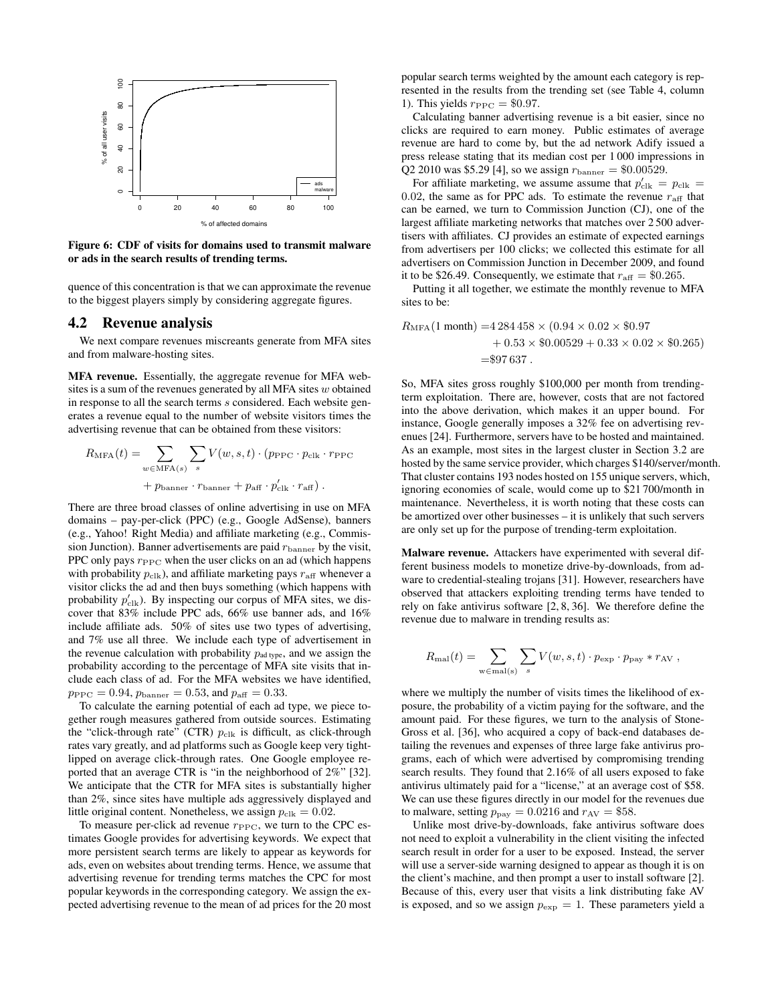

Figure 6: CDF of visits for domains used to transmit malware or ads in the search results of trending terms.

quence of this concentration is that we can approximate the revenue to the biggest players simply by considering aggregate figures.

### 4.2 Revenue analysis

We next compare revenues miscreants generate from MFA sites and from malware-hosting sites.

MFA revenue. Essentially, the aggregate revenue for MFA websites is a sum of the revenues generated by all MFA sites  $w$  obtained in response to all the search terms s considered. Each website generates a revenue equal to the number of website visitors times the advertising revenue that can be obtained from these visitors:

$$
R_{\text{MFA}}(t) = \sum_{w \in \text{MFA}(s)} \sum_{s} V(w, s, t) \cdot (p_{\text{PPC}} \cdot p_{\text{clk}} \cdot r_{\text{PPC}} + p_{\text{banner}} \cdot r_{\text{banner}} + p_{\text{aff}} \cdot p_{\text{clk}}' \cdot r_{\text{aff}}).
$$

There are three broad classes of online advertising in use on MFA domains – pay-per-click (PPC) (e.g., Google AdSense), banners (e.g., Yahoo! Right Media) and affiliate marketing (e.g., Commission Junction). Banner advertisements are paid  $r_{\text{banner}}$  by the visit, PPC only pays  $r_{\text{PPC}}$  when the user clicks on an ad (which happens with probability  $p_{\text{clk}}$ ), and affiliate marketing pays  $r_{\text{aff}}$  whenever a visitor clicks the ad and then buys something (which happens with probability  $p'_{\text{clk}}$ ). By inspecting our corpus of MFA sites, we discover that 83% include PPC ads, 66% use banner ads, and 16% include affiliate ads. 50% of sites use two types of advertising, and 7% use all three. We include each type of advertisement in the revenue calculation with probability  $p_{\text{ad type}}$ , and we assign the probability according to the percentage of MFA site visits that include each class of ad. For the MFA websites we have identified,  $p_\mathrm{PPC}=0.94,$   $p_\mathrm{banner}=0.53,$  and  $p_\mathrm{aff}=0.33.$ 

To calculate the earning potential of each ad type, we piece together rough measures gathered from outside sources. Estimating the "click-through rate" (CTR)  $p_{\text{clk}}$  is difficult, as click-through rates vary greatly, and ad platforms such as Google keep very tightlipped on average click-through rates. One Google employee reported that an average CTR is "in the neighborhood of 2%" [32]. We anticipate that the CTR for MFA sites is substantially higher than 2%, since sites have multiple ads aggressively displayed and little original content. Nonetheless, we assign  $p_{\text{clk}} = 0.02$ .

To measure per-click ad revenue  $r_{\text{PPC}}$ , we turn to the CPC estimates Google provides for advertising keywords. We expect that more persistent search terms are likely to appear as keywords for ads, even on websites about trending terms. Hence, we assume that advertising revenue for trending terms matches the CPC for most popular keywords in the corresponding category. We assign the expected advertising revenue to the mean of ad prices for the 20 most

popular search terms weighted by the amount each category is represented in the results from the trending set (see Table 4, column 1). This yields  $r_{\text{PPC}} = $0.97$ .

Calculating banner advertising revenue is a bit easier, since no clicks are required to earn money. Public estimates of average revenue are hard to come by, but the ad network Adify issued a press release stating that its median cost per 1 000 impressions in Q2 2010 was \$5.29 [4], so we assign  $r_{\text{banner}} = $0.00529$ .

For affiliate marketing, we assume assume that  $p'_{\text{clk}} = p_{\text{clk}} =$ 0.02, the same as for PPC ads. To estimate the revenue  $r_{\text{aff}}$  that can be earned, we turn to Commission Junction (CJ), one of the largest affiliate marketing networks that matches over 2 500 advertisers with affiliates. CJ provides an estimate of expected earnings from advertisers per 100 clicks; we collected this estimate for all advertisers on Commission Junction in December 2009, and found it to be \$26.49. Consequently, we estimate that  $r_{\text{aff}} = $0.265$ .

Putting it all together, we estimate the monthly revenue to MFA sites to be:

$$
R_{\text{MFA}}(1 \text{ month}) = 4284458 \times (0.94 \times 0.02 \times \$0.97 + 0.53 \times \$0.00529 + 0.33 \times 0.02 \times \$0.265)
$$
  
= \\$97637.

So, MFA sites gross roughly \$100,000 per month from trendingterm exploitation. There are, however, costs that are not factored into the above derivation, which makes it an upper bound. For instance, Google generally imposes a 32% fee on advertising revenues [24]. Furthermore, servers have to be hosted and maintained. As an example, most sites in the largest cluster in Section 3.2 are hosted by the same service provider, which charges \$140/server/month. That cluster contains 193 nodes hosted on 155 unique servers, which, ignoring economies of scale, would come up to \$21 700/month in maintenance. Nevertheless, it is worth noting that these costs can be amortized over other businesses – it is unlikely that such servers are only set up for the purpose of trending-term exploitation.

Malware revenue. Attackers have experimented with several different business models to monetize drive-by-downloads, from adware to credential-stealing trojans [31]. However, researchers have observed that attackers exploiting trending terms have tended to rely on fake antivirus software [2, 8, 36]. We therefore define the revenue due to malware in trending results as:

$$
R_{\text{mal}}(t) = \sum_{\mathbf{w} \in \text{mal(s)}} \sum_{s} V(w, s, t) \cdot p_{\text{exp}} \cdot p_{\text{pay}} * r_{\text{AV}},
$$

where we multiply the number of visits times the likelihood of exposure, the probability of a victim paying for the software, and the amount paid. For these figures, we turn to the analysis of Stone-Gross et al. [36], who acquired a copy of back-end databases detailing the revenues and expenses of three large fake antivirus programs, each of which were advertised by compromising trending search results. They found that 2.16% of all users exposed to fake antivirus ultimately paid for a "license," at an average cost of \$58. We can use these figures directly in our model for the revenues due to malware, setting  $p_{\text{pay}} = 0.0216$  and  $r_{\text{AV}} = $58$ .

Unlike most drive-by-downloads, fake antivirus software does not need to exploit a vulnerability in the client visiting the infected search result in order for a user to be exposed. Instead, the server will use a server-side warning designed to appear as though it is on the client's machine, and then prompt a user to install software [2]. Because of this, every user that visits a link distributing fake AV is exposed, and so we assign  $p_{\text{exp}} = 1$ . These parameters yield a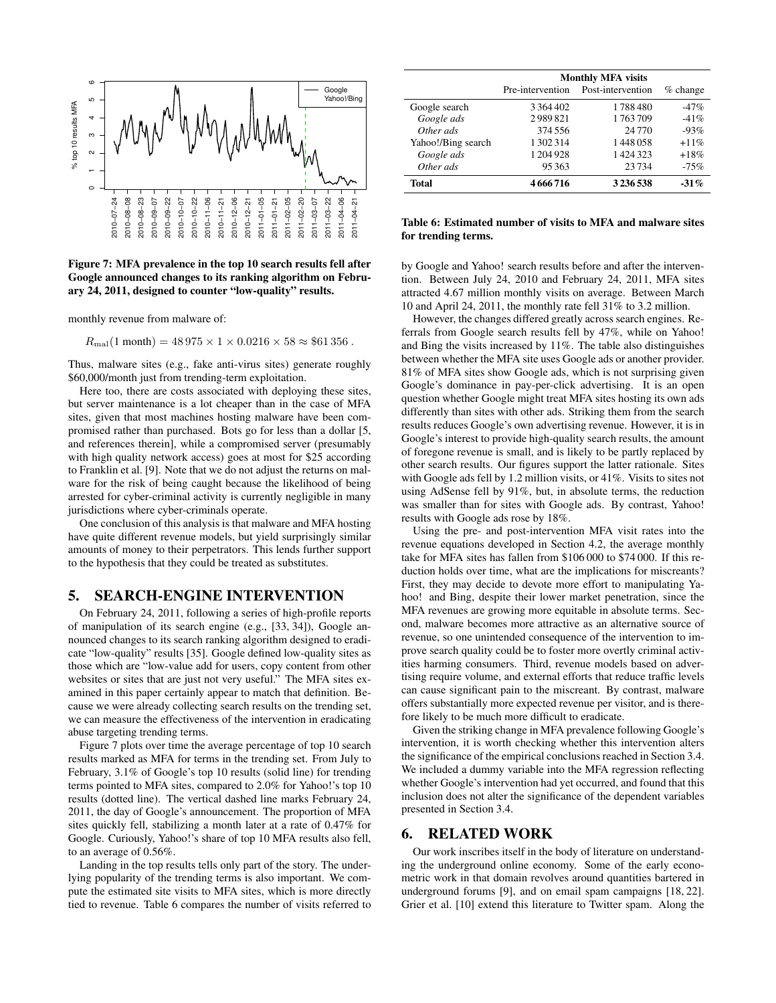

Figure 7: MFA prevalence in the top 10 search results fell after Google announced changes to its ranking algorithm on February 24, 2011, designed to counter "low-quality" results.

monthly revenue from malware of:

 $R_{\text{mal}}(1 \text{ month}) = 48\,975 \times 1 \times 0.0216 \times 58 \approx $61\,356$ .

Thus, malware sites (e.g., fake anti-virus sites) generate roughly \$60,000/month just from trending-term exploitation.

Here too, there are costs associated with deploying these sites, but server maintenance is a lot cheaper than in the case of MFA sites, given that most machines hosting malware have been compromised rather than purchased. Bots go for less than a dollar [5, and references therein], while a compromised server (presumably with high quality network access) goes at most for \$25 according to Franklin et al. [9]. Note that we do not adjust the returns on malware for the risk of being caught because the likelihood of being arrested for cyber-criminal activity is currently negligible in many jurisdictions where cyber-criminals operate.

One conclusion of this analysis is that malware and MFA hosting have quite different revenue models, but yield surprisingly similar amounts of money to their perpetrators. This lends further support to the hypothesis that they could be treated as substitutes.

### 5. SEARCH-ENGINE INTERVENTION

On February 24, 2011, following a series of high-profile reports of manipulation of its search engine (e.g., [33, 34]), Google announced changes to its search ranking algorithm designed to eradicate "low-quality" results [35]. Google defined low-quality sites as those which are "low-value add for users, copy content from other websites or sites that are just not very useful." The MFA sites examined in this paper certainly appear to match that definition. Because we were already collecting search results on the trending set, we can measure the effectiveness of the intervention in eradicating abuse targeting trending terms.

Figure 7 plots over time the average percentage of top 10 search results marked as MFA for terms in the trending set. From July to February, 3.1% of Google's top 10 results (solid line) for trending terms pointed to MFA sites, compared to 2.0% for Yahoo!'s top 10 results (dotted line). The vertical dashed line marks February 24, 2011, the day of Google's announcement. The proportion of MFA sites quickly fell, stabilizing a month later at a rate of 0.47% for Google. Curiously, Yahoo!'s share of top 10 MFA results also fell, to an average of 0.56%.

Landing in the top results tells only part of the story. The underlying popularity of the trending terms is also important. We compute the estimated site visits to MFA sites, which is more directly tied to revenue. Table 6 compares the number of visits referred to

|                    | <b>Monthly MFA visits</b> |                   |            |  |  |
|--------------------|---------------------------|-------------------|------------|--|--|
|                    | Pre-intervention          | Post-intervention | $%$ change |  |  |
| Google search      | 3 3 6 4 4 0 2             | 1788480           | $-47%$     |  |  |
| Google ads         | 2989821                   | 1763709           | $-41%$     |  |  |
| Other ads          | 374 556                   | 24 7 7 0          | $-93%$     |  |  |
| Yahoo!/Bing search | 1 302 314                 | 1448058           | $+11%$     |  |  |
| Google ads         | 1204928                   | 1424323           | $+18%$     |  |  |
| Other ads          | 95363                     | 23734             | $-75%$     |  |  |
| Total              | 4666716                   | 3236538           | $-31\%$    |  |  |

#### Table 6: Estimated number of visits to MFA and malware sites for trending terms.

by Google and Yahoo! search results before and after the intervention. Between July 24, 2010 and February 24, 2011, MFA sites attracted 4.67 million monthly visits on average. Between March 10 and April 24, 2011, the monthly rate fell 31% to 3.2 million.

However, the changes differed greatly across search engines. Referrals from Google search results fell by 47%, while on Yahoo! and Bing the visits increased by 11%. The table also distinguishes between whether the MFA site uses Google ads or another provider. 81% of MFA sites show Google ads, which is not surprising given Google's dominance in pay-per-click advertising. It is an open question whether Google might treat MFA sites hosting its own ads differently than sites with other ads. Striking them from the search results reduces Google's own advertising revenue. However, it is in Google's interest to provide high-quality search results, the amount of foregone revenue is small, and is likely to be partly replaced by other search results. Our figures support the latter rationale. Sites with Google ads fell by 1.2 million visits, or 41%. Visits to sites not using AdSense fell by 91%, but, in absolute terms, the reduction was smaller than for sites with Google ads. By contrast, Yahoo! results with Google ads rose by 18%.

Using the pre- and post-intervention MFA visit rates into the revenue equations developed in Section 4.2, the average monthly take for MFA sites has fallen from \$106 000 to \$74 000. If this reduction holds over time, what are the implications for miscreants? First, they may decide to devote more effort to manipulating Yahoo! and Bing, despite their lower market penetration, since the MFA revenues are growing more equitable in absolute terms. Second, malware becomes more attractive as an alternative source of revenue, so one unintended consequence of the intervention to improve search quality could be to foster more overtly criminal activities harming consumers. Third, revenue models based on advertising require volume, and external efforts that reduce traffic levels can cause significant pain to the miscreant. By contrast, malware offers substantially more expected revenue per visitor, and is therefore likely to be much more difficult to eradicate.

Given the striking change in MFA prevalence following Google's intervention, it is worth checking whether this intervention alters the significance of the empirical conclusions reached in Section 3.4. We included a dummy variable into the MFA regression reflecting whether Google's intervention had yet occurred, and found that this inclusion does not alter the significance of the dependent variables presented in Section 3.4.

### 6. RELATED WORK

Our work inscribes itself in the body of literature on understanding the underground online economy. Some of the early econometric work in that domain revolves around quantities bartered in underground forums [9], and on email spam campaigns [18, 22]. Grier et al. [10] extend this literature to Twitter spam. Along the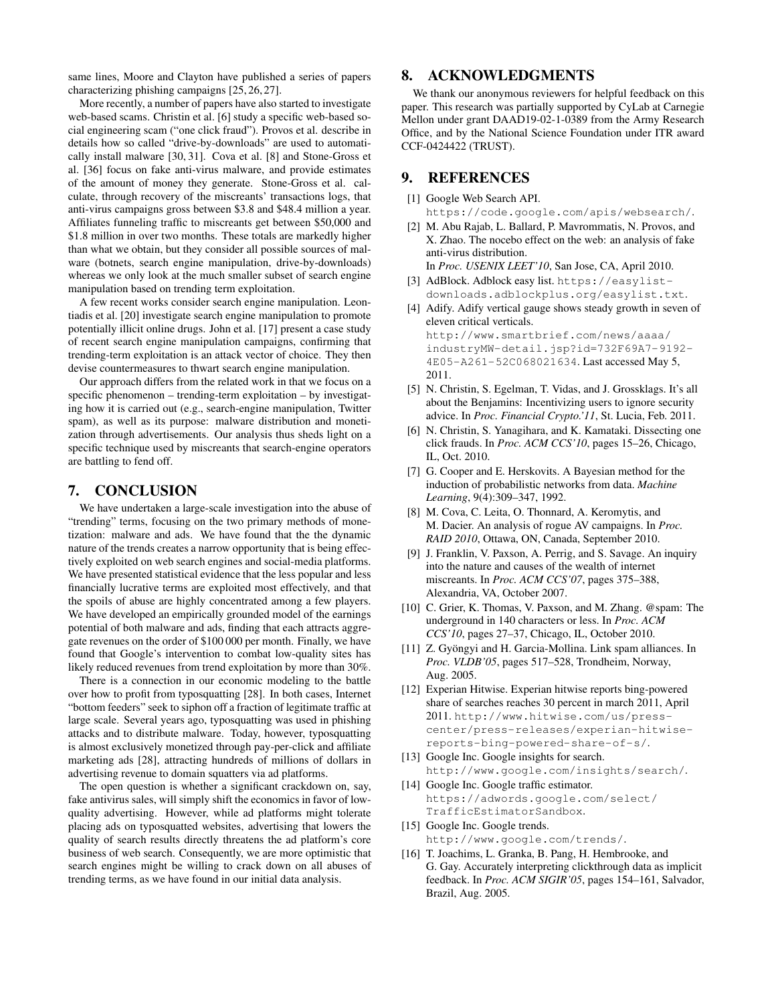same lines, Moore and Clayton have published a series of papers characterizing phishing campaigns [25, 26, 27].

More recently, a number of papers have also started to investigate web-based scams. Christin et al. [6] study a specific web-based social engineering scam ("one click fraud"). Provos et al. describe in details how so called "drive-by-downloads" are used to automatically install malware [30, 31]. Cova et al. [8] and Stone-Gross et al. [36] focus on fake anti-virus malware, and provide estimates of the amount of money they generate. Stone-Gross et al. calculate, through recovery of the miscreants' transactions logs, that anti-virus campaigns gross between \$3.8 and \$48.4 million a year. Affiliates funneling traffic to miscreants get between \$50,000 and \$1.8 million in over two months. These totals are markedly higher than what we obtain, but they consider all possible sources of malware (botnets, search engine manipulation, drive-by-downloads) whereas we only look at the much smaller subset of search engine manipulation based on trending term exploitation.

A few recent works consider search engine manipulation. Leontiadis et al. [20] investigate search engine manipulation to promote potentially illicit online drugs. John et al. [17] present a case study of recent search engine manipulation campaigns, confirming that trending-term exploitation is an attack vector of choice. They then devise countermeasures to thwart search engine manipulation.

Our approach differs from the related work in that we focus on a specific phenomenon – trending-term exploitation – by investigating how it is carried out (e.g., search-engine manipulation, Twitter spam), as well as its purpose: malware distribution and monetization through advertisements. Our analysis thus sheds light on a specific technique used by miscreants that search-engine operators are battling to fend off.

### 7. CONCLUSION

We have undertaken a large-scale investigation into the abuse of "trending" terms, focusing on the two primary methods of monetization: malware and ads. We have found that the the dynamic nature of the trends creates a narrow opportunity that is being effectively exploited on web search engines and social-media platforms. We have presented statistical evidence that the less popular and less financially lucrative terms are exploited most effectively, and that the spoils of abuse are highly concentrated among a few players. We have developed an empirically grounded model of the earnings potential of both malware and ads, finding that each attracts aggregate revenues on the order of \$100 000 per month. Finally, we have found that Google's intervention to combat low-quality sites has likely reduced revenues from trend exploitation by more than 30%.

There is a connection in our economic modeling to the battle over how to profit from typosquatting [28]. In both cases, Internet "bottom feeders" seek to siphon off a fraction of legitimate traffic at large scale. Several years ago, typosquatting was used in phishing attacks and to distribute malware. Today, however, typosquatting is almost exclusively monetized through pay-per-click and affiliate marketing ads [28], attracting hundreds of millions of dollars in advertising revenue to domain squatters via ad platforms.

The open question is whether a significant crackdown on, say, fake antivirus sales, will simply shift the economics in favor of lowquality advertising. However, while ad platforms might tolerate placing ads on typosquatted websites, advertising that lowers the quality of search results directly threatens the ad platform's core business of web search. Consequently, we are more optimistic that search engines might be willing to crack down on all abuses of trending terms, as we have found in our initial data analysis.

# 8. ACKNOWLEDGMENTS

We thank our anonymous reviewers for helpful feedback on this paper. This research was partially supported by CyLab at Carnegie Mellon under grant DAAD19-02-1-0389 from the Army Research Office, and by the National Science Foundation under ITR award CCF-0424422 (TRUST).

# 9. REFERENCES

- [1] Google Web Search API.
	- https://code.google.com/apis/websearch/.
- [2] M. Abu Rajab, L. Ballard, P. Mavrommatis, N. Provos, and X. Zhao. The nocebo effect on the web: an analysis of fake anti-virus distribution. In *Proc. USENIX LEET'10*, San Jose, CA, April 2010.
- [3] AdBlock. Adblock easy list. https://easylist-
- downloads.adblockplus.org/easylist.txt. [4] Adify. Adify vertical gauge shows steady growth in seven of
- eleven critical verticals. http://www.smartbrief.com/news/aaaa/ industryMW-detail.jsp?id=732F69A7-9192- 4E05-A261-52C068021634. Last accessed May 5, 2011.
- [5] N. Christin, S. Egelman, T. Vidas, and J. Grossklags. It's all about the Benjamins: Incentivizing users to ignore security advice. In *Proc. Financial Crypto.'11*, St. Lucia, Feb. 2011.
- [6] N. Christin, S. Yanagihara, and K. Kamataki. Dissecting one click frauds. In *Proc. ACM CCS'10*, pages 15–26, Chicago, IL, Oct. 2010.
- [7] G. Cooper and E. Herskovits. A Bayesian method for the induction of probabilistic networks from data. *Machine Learning*, 9(4):309–347, 1992.
- [8] M. Cova, C. Leita, O. Thonnard, A. Keromytis, and M. Dacier. An analysis of rogue AV campaigns. In *Proc. RAID 2010*, Ottawa, ON, Canada, September 2010.
- [9] J. Franklin, V. Paxson, A. Perrig, and S. Savage. An inquiry into the nature and causes of the wealth of internet miscreants. In *Proc. ACM CCS'07*, pages 375–388, Alexandria, VA, October 2007.
- [10] C. Grier, K. Thomas, V. Paxson, and M. Zhang. @spam: The underground in 140 characters or less. In *Proc. ACM CCS'10*, pages 27–37, Chicago, IL, October 2010.
- [11] Z. Gyöngyi and H. Garcia-Mollina. Link spam alliances. In *Proc. VLDB'05*, pages 517–528, Trondheim, Norway, Aug. 2005.
- [12] Experian Hitwise. Experian hitwise reports bing-powered share of searches reaches 30 percent in march 2011, April 2011. http://www.hitwise.com/us/presscenter/press-releases/experian-hitwisereports-bing-powered-share-of-s/.
- [13] Google Inc. Google insights for search. http://www.google.com/insights/search/.
- [14] Google Inc. Google traffic estimator. https://adwords.google.com/select/ TrafficEstimatorSandbox.
- [15] Google Inc. Google trends. http://www.google.com/trends/.
- [16] T. Joachims, L. Granka, B. Pang, H. Hembrooke, and G. Gay. Accurately interpreting clickthrough data as implicit feedback. In *Proc. ACM SIGIR'05*, pages 154–161, Salvador, Brazil, Aug. 2005.